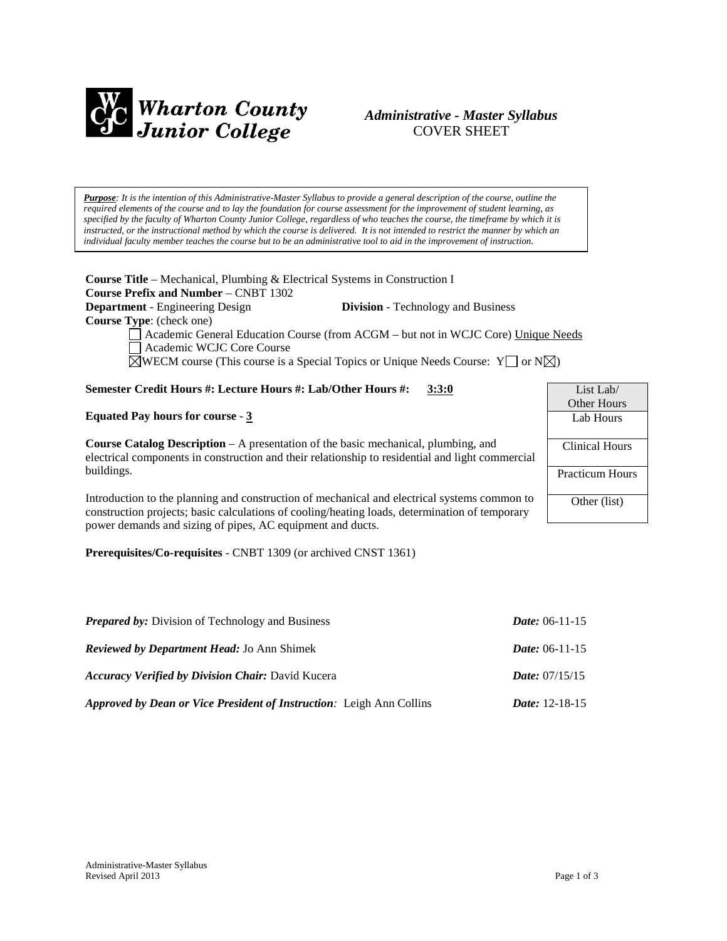

# *Administrative - Master Syllabus*  COVER SHEET

*Purpose: It is the intention of this Administrative-Master Syllabus to provide a general description of the course, outline the required elements of the course and to lay the foundation for course assessment for the improvement of student learning, as specified by the faculty of Wharton County Junior College, regardless of who teaches the course, the timeframe by which it is instructed, or the instructional method by which the course is delivered. It is not intended to restrict the manner by which an individual faculty member teaches the course but to be an administrative tool to aid in the improvement of instruction.*

**Course Title** – Mechanical, Plumbing & Electrical Systems in Construction I **Course Prefix and Number** – CNBT 1302 **Department** - Engineering Design **Division** - Technology and Business **Course Type**: (check one) Academic General Education Course (from ACGM – but not in WCJC Core) Unique Needs Academic WCJC Core Course  $\boxtimes$ WECM course (This course is a Special Topics or Unique Needs Course: Y or N $\boxtimes$ ) **Semester Credit Hours #: Lecture Hours #: Lab/Other Hours #: 3:3:0 Equated Pay hours for course** - **3 Course Catalog Description** – A presentation of the basic mechanical, plumbing, and electrical components in construction and their relationship to residential and light commercial buildings. Introduction to the planning and construction of mechanical and electrical systems common to construction projects; basic calculations of cooling/heating loads, determination of temporary List Lab/ Other Hours Lab Hours Clinical Hours Practicum Hours Other (list)

**Prerequisites/Co-requisites** - CNBT 1309 (or archived CNST 1361)

power demands and sizing of pipes, AC equipment and ducts.

| <b>Prepared by:</b> Division of Technology and Business              | <i>Date:</i> $06-11-15$ |
|----------------------------------------------------------------------|-------------------------|
| <b>Reviewed by Department Head: Jo Ann Shimek</b>                    | <i>Date:</i> $06-11-15$ |
| <b>Accuracy Verified by Division Chair: David Kucera</b>             | <i>Date:</i> $07/15/15$ |
| Approved by Dean or Vice President of Instruction: Leigh Ann Collins | <i>Date:</i> $12-18-15$ |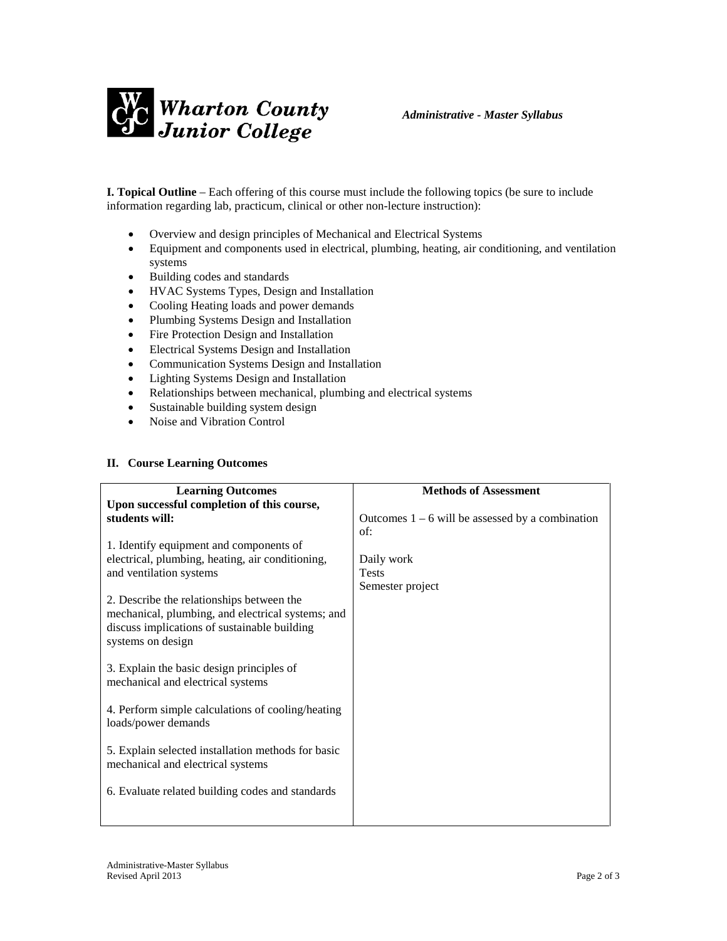

**I. Topical Outline** – Each offering of this course must include the following topics (be sure to include information regarding lab, practicum, clinical or other non-lecture instruction):

- Overview and design principles of Mechanical and Electrical Systems
- Equipment and components used in electrical, plumbing, heating, air conditioning, and ventilation systems
- Building codes and standards
- HVAC Systems Types, Design and Installation
- Cooling Heating loads and power demands
- Plumbing Systems Design and Installation
- Fire Protection Design and Installation
- Electrical Systems Design and Installation
- Communication Systems Design and Installation
- Lighting Systems Design and Installation
- Relationships between mechanical, plumbing and electrical systems
- Sustainable building system design
- Noise and Vibration Control

## **II. Course Learning Outcomes**

| <b>Learning Outcomes</b>                           | <b>Methods of Assessment</b>                       |
|----------------------------------------------------|----------------------------------------------------|
| Upon successful completion of this course,         |                                                    |
| students will:                                     | Outcomes $1 - 6$ will be assessed by a combination |
|                                                    | of:                                                |
| 1. Identify equipment and components of            |                                                    |
| electrical, plumbing, heating, air conditioning,   | Daily work                                         |
| and ventilation systems                            | <b>Tests</b>                                       |
|                                                    | Semester project                                   |
| 2. Describe the relationships between the          |                                                    |
| mechanical, plumbing, and electrical systems; and  |                                                    |
| discuss implications of sustainable building       |                                                    |
| systems on design                                  |                                                    |
|                                                    |                                                    |
| 3. Explain the basic design principles of          |                                                    |
| mechanical and electrical systems                  |                                                    |
|                                                    |                                                    |
| 4. Perform simple calculations of cooling/heating  |                                                    |
| loads/power demands                                |                                                    |
| 5. Explain selected installation methods for basic |                                                    |
| mechanical and electrical systems                  |                                                    |
|                                                    |                                                    |
| 6. Evaluate related building codes and standards   |                                                    |
|                                                    |                                                    |
|                                                    |                                                    |